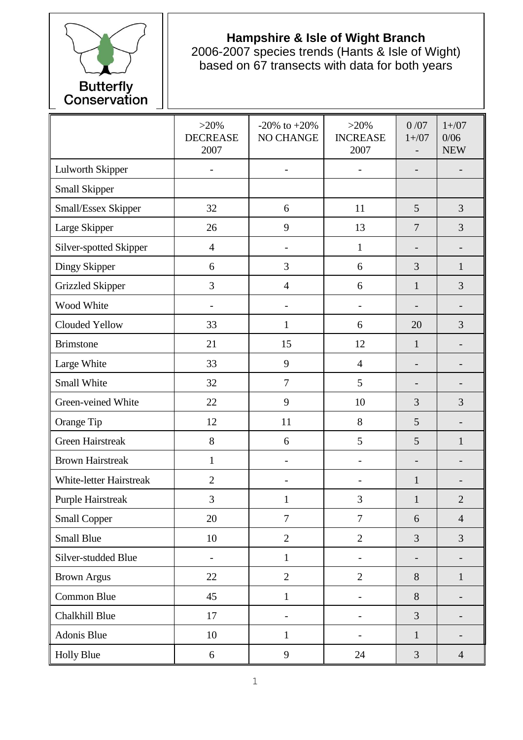

## **Hampshire & Isle of Wight Branch**

2006-2007 species trends (Hants & Isle of Wight) based on 67 transects with data for both years

|                                | $>20\%$<br><b>DECREASE</b><br>2007 | $-20\%$ to $+20\%$<br>NO CHANGE | $>20\%$<br><b>INCREASE</b><br>2007 | 0/07<br>$1 + / 07$       | $1 + / 07$<br>0/06<br><b>NEW</b> |
|--------------------------------|------------------------------------|---------------------------------|------------------------------------|--------------------------|----------------------------------|
| <b>Lulworth Skipper</b>        |                                    | $\blacksquare$                  |                                    | $\overline{\phantom{0}}$ |                                  |
| Small Skipper                  |                                    |                                 |                                    |                          |                                  |
| Small/Essex Skipper            | 32                                 | 6                               | 11                                 | 5                        | 3                                |
| Large Skipper                  | 26                                 | 9                               | 13                                 | $\overline{7}$           | 3                                |
| Silver-spotted Skipper         | $\overline{4}$                     |                                 | $\mathbf{1}$                       |                          |                                  |
| Dingy Skipper                  | 6                                  | 3                               | 6                                  | 3                        | 1                                |
| <b>Grizzled Skipper</b>        | 3                                  | $\overline{4}$                  | 6                                  | $\mathbf{1}$             | 3                                |
| Wood White                     |                                    |                                 |                                    |                          |                                  |
| Clouded Yellow                 | 33                                 | $\mathbf{1}$                    | 6                                  | 20                       | 3                                |
| <b>Brimstone</b>               | 21                                 | 15                              | 12                                 | $\mathbf{1}$             |                                  |
| Large White                    | 33                                 | 9                               | $\overline{4}$                     | -                        |                                  |
| Small White                    | 32                                 | $\tau$                          | 5                                  |                          |                                  |
| Green-veined White             | 22                                 | 9                               | 10                                 | 3                        | 3                                |
| Orange Tip                     | 12                                 | 11                              | 8                                  | 5                        |                                  |
| <b>Green Hairstreak</b>        | 8                                  | 6                               | 5                                  | 5                        | 1                                |
| <b>Brown Hairstreak</b>        | $\mathbf{1}$                       | $\overline{\phantom{a}}$        | $\overline{\phantom{0}}$           | $\overline{\phantom{0}}$ | $\overline{a}$                   |
| <b>White-letter Hairstreak</b> | $\mathfrak{2}$                     |                                 |                                    | $\mathbf{1}$             |                                  |
| <b>Purple Hairstreak</b>       | 3                                  | $\mathbf{1}$                    | 3                                  | $\mathbf{1}$             | $\overline{2}$                   |
| <b>Small Copper</b>            | 20                                 | $\overline{7}$                  | $\overline{7}$                     | 6                        | $\overline{4}$                   |
| <b>Small Blue</b>              | 10                                 | $\overline{2}$                  | $\overline{2}$                     | 3                        | 3                                |
| Silver-studded Blue            |                                    | $\mathbf{1}$                    |                                    | $\overline{\phantom{0}}$ |                                  |
| <b>Brown Argus</b>             | 22                                 | $\overline{2}$                  | $\overline{2}$                     | 8                        | $\mathbf{1}$                     |
| Common Blue                    | 45                                 | $\mathbf{1}$                    |                                    | 8                        | $\overline{\phantom{0}}$         |
| Chalkhill Blue                 | 17                                 | $\overline{\phantom{a}}$        |                                    | 3                        |                                  |
| Adonis Blue                    | 10                                 | $\mathbf{1}$                    | $\overline{\phantom{0}}$           | $\mathbf{1}$             | $\qquad \qquad \blacksquare$     |
| <b>Holly Blue</b>              | 6                                  | 9                               | 24                                 | $\overline{3}$           | $\overline{4}$                   |